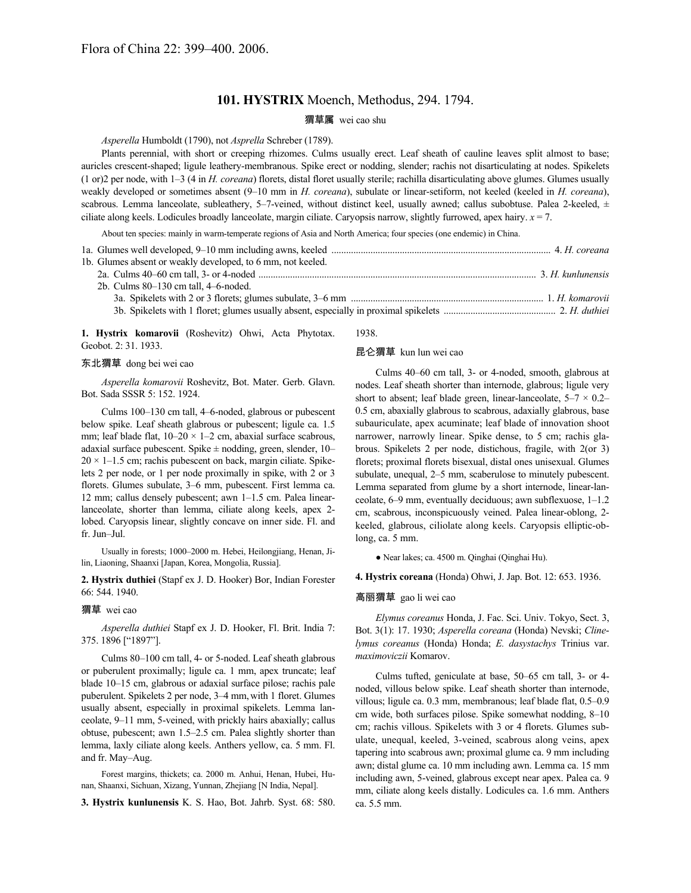# **101. HYSTRIX** Moench, Methodus, 294. 1794.

## 猬草属 wei cao shu

*Asperella* Humboldt (1790), not *Asprella* Schreber (1789).

Plants perennial, with short or creeping rhizomes. Culms usually erect. Leaf sheath of cauline leaves split almost to base; auricles crescent-shaped; ligule leathery-membranous. Spike erect or nodding, slender; rachis not disarticulating at nodes. Spikelets (1 or)2 per node, with 1–3 (4 in *H. coreana*) florets, distal floret usually sterile; rachilla disarticulating above glumes. Glumes usually weakly developed or sometimes absent (9–10 mm in *H. coreana*), subulate or linear-setiform, not keeled (keeled in *H. coreana*), scabrous. Lemma lanceolate, subleathery, 5-7-veined, without distinct keel, usually awned; callus subobtuse. Palea 2-keeled, ± ciliate along keels. Lodicules broadly lanceolate, margin ciliate. Caryopsis narrow, slightly furrowed, apex hairy. *x* = 7.

About ten species: mainly in warm-temperate regions of Asia and North America; four species (one endemic) in China.

| 1b. Glumes absent or weakly developed, to 6 mm, not keeled. |  |
|-------------------------------------------------------------|--|
|                                                             |  |
| 2b. Culms 80–130 cm tall, 4–6-noded.                        |  |
|                                                             |  |
|                                                             |  |
|                                                             |  |

**1. Hystrix komarovii** (Roshevitz) Ohwi, Acta Phytotax. Geobot. 2: 31. 1933.

### 东北猬草 dong bei wei cao

*Asperella komarovii* Roshevitz, Bot. Mater. Gerb. Glavn. Bot. Sada SSSR 5: 152. 1924.

Culms 100–130 cm tall, 4–6-noded, glabrous or pubescent below spike. Leaf sheath glabrous or pubescent; ligule ca. 1.5 mm; leaf blade flat,  $10-20 \times 1-2$  cm, abaxial surface scabrous, adaxial surface pubescent. Spike  $\pm$  nodding, green, slender, 10–  $20 \times 1 - 1.5$  cm; rachis pubescent on back, margin ciliate. Spikelets 2 per node, or 1 per node proximally in spike, with 2 or 3 florets. Glumes subulate, 3–6 mm, pubescent. First lemma ca. 12 mm; callus densely pubescent; awn 1–1.5 cm. Palea linearlanceolate, shorter than lemma, ciliate along keels, apex 2 lobed. Caryopsis linear, slightly concave on inner side. Fl. and fr. Jun–Jul.

Usually in forests; 1000–2000 m. Hebei, Heilongjiang, Henan, Jilin, Liaoning, Shaanxi [Japan, Korea, Mongolia, Russia].

**2. Hystrix duthiei** (Stapf ex J. D. Hooker) Bor, Indian Forester 66: 544. 1940.

#### 猬草 wei cao

*Asperella duthiei* Stapf ex J. D. Hooker, Fl. Brit. India 7: 375. 1896 ["1897"].

Culms 80–100 cm tall, 4- or 5-noded. Leaf sheath glabrous or puberulent proximally; ligule ca. 1 mm, apex truncate; leaf blade 10–15 cm, glabrous or adaxial surface pilose; rachis pale puberulent. Spikelets 2 per node, 3–4 mm,with 1 floret. Glumes usually absent, especially in proximal spikelets. Lemma lanceolate, 9–11 mm, 5-veined, with prickly hairs abaxially; callus obtuse, pubescent; awn 1.5–2.5 cm. Palea slightly shorter than lemma, laxly ciliate along keels. Anthers yellow, ca. 5 mm. Fl. and fr. May–Aug.

Forest margins, thickets; ca. 2000 m. Anhui, Henan, Hubei, Hunan, Shaanxi, Sichuan, Xizang, Yunnan, Zhejiang [N India, Nepal].

**3. Hystrix kunlunensis** K. S. Hao, Bot. Jahrb. Syst. 68: 580.

# 1938.

### 昆仑猬草 kun lun wei cao

Culms 40–60 cm tall, 3- or 4-noded, smooth, glabrous at nodes. Leaf sheath shorter than internode, glabrous; ligule very short to absent; leaf blade green, linear-lanceolate,  $5-7 \times 0.2-$ 0.5 cm, abaxially glabrous to scabrous, adaxially glabrous, base subauriculate, apex acuminate; leaf blade of innovation shoot narrower, narrowly linear. Spike dense, to 5 cm; rachis glabrous. Spikelets 2 per node, distichous, fragile, with 2(or 3) florets; proximal florets bisexual, distal ones unisexual. Glumes subulate, unequal, 2–5 mm, scaberulose to minutely pubescent. Lemma separated from glume by a short internode, linear-lanceolate, 6–9 mm, eventually deciduous; awn subflexuose, 1–1.2 cm, scabrous, inconspicuously veined. Palea linear-oblong, 2 keeled, glabrous, ciliolate along keels. Caryopsis elliptic-oblong, ca. 5 mm.

● Near lakes; ca. 4500 m. Qinghai (Qinghai Hu).

**4. Hystrix coreana** (Honda) Ohwi, J. Jap. Bot. 12: 653. 1936.

#### 高丽猬草 gao li wei cao

*Elymus coreanus* Honda, J. Fac. Sci. Univ. Tokyo, Sect. 3, Bot. 3(1): 17. 1930; *Asperella coreana* (Honda) Nevski; *Clinelymus coreanus* (Honda) Honda; *E. dasystachys* Trinius var. *maximoviczii* Komarov.

Culms tufted, geniculate at base, 50–65 cm tall, 3- or 4 noded, villous below spike. Leaf sheath shorter than internode, villous; ligule ca. 0.3 mm, membranous; leaf blade flat, 0.5–0.9 cm wide, both surfaces pilose. Spike somewhat nodding, 8–10 cm; rachis villous. Spikelets with 3 or 4 florets. Glumes subulate, unequal, keeled, 3-veined, scabrous along veins, apex tapering into scabrous awn; proximal glume ca. 9 mm including awn; distal glume ca. 10 mm including awn. Lemma ca. 15 mm including awn, 5-veined, glabrous except near apex. Palea ca. 9 mm, ciliate along keels distally. Lodicules ca. 1.6 mm. Anthers ca. 5.5 mm.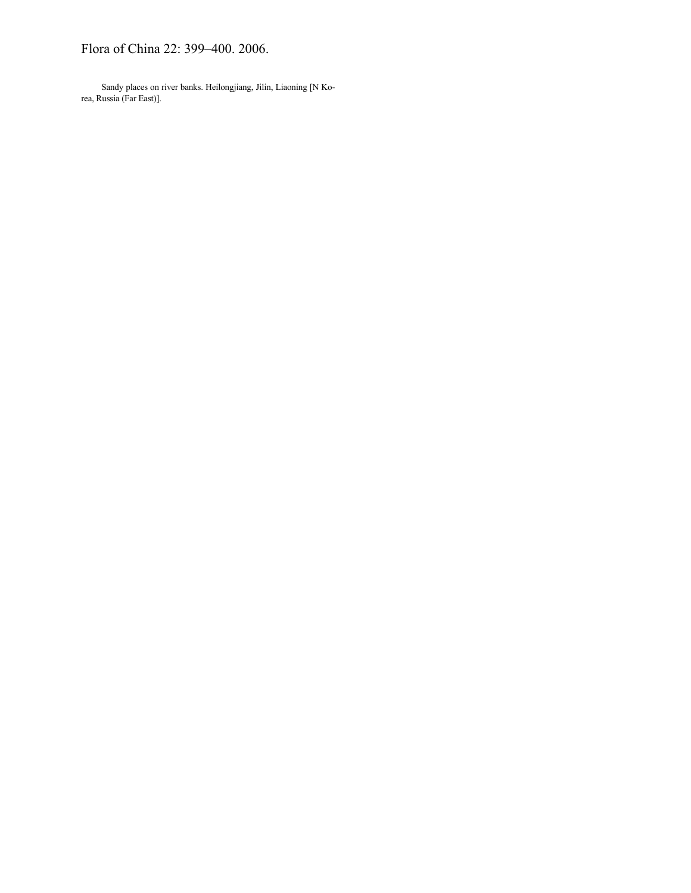# Flora of China 22: 399–400. 2006.

Sandy places on river banks. Heilongjiang, Jilin, Liaoning [N Korea, Russia (Far East)].